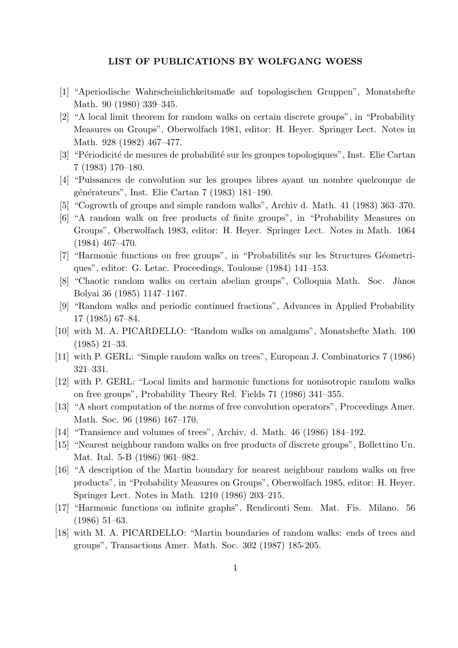## **LIST OF PUBLICATIONS BY WOLFGANG WOESS**

- [1] "Aperiodische Wahrscheinlichkeitsmaße auf topologischen Gruppen", Monatshefte Math. 90 (1980) 339–345.
- [2] "A local limit theorem for random walks on certain discrete groups", in "Probability Measures on Groups", Oberwolfach 1981, editor: H. Heyer. Springer Lect. Notes in Math. 928 (1982) 467–477.
- [3] "Périodicité de mesures de probabilité sur les groupes topologiques", Inst. Elie Cartan 7 (1983) 170–180.
- [4] "Puissances de convolution sur les groupes libres ayant un nombre quelconque de générateurs", Inst. Elie Cartan 7 (1983) 181–190.
- [5] "Cogrowth of groups and simple random walks", Archiv d. Math. 41 (1983) 363–370.
- [6] "A random walk on free products of finite groups", in "Probability Measures on Groups", Oberwolfach 1983, editor: H. Heyer. Springer Lect. Notes in Math. 1064 (1984) 467–470.
- [7] "Harmonic functions on free groups", in "Probabilités sur les Structures Géometriques", editor: G. Letac. Proceedings, Toulouse (1984) 141–153.
- [8] "Chaotic random walks on certain abelian groups", Colloquia Math. Soc. Jànos Bolyai 36 (1985) 1147–1167.
- [9] "Random walks and periodic continued fractions", Advances in Applied Probability 17 (1985) 67–84.
- [10] with M. A. PICARDELLO: "Random walks on amalgams", Monatshefte Math. 100 (1985) 21–33.
- [11] with P. GERL: "Simple random walks on trees", European J. Combinatorics 7 (1986) 321–331.
- [12] with P. GERL: "Local limits and harmonic functions for nonisotropic random walks on free groups", Probability Theory Rel. Fields 71 (1986) 341–355.
- [13] "A short computation of the norms of free convolution operators", Proceedings Amer. Math. Soc. 96 (1986) 167–170.
- [14] "Transience and volumes of trees", Archiv. d. Math. 46 (1986) 184–192.
- [15] "Nearest neighbour random walks on free products of discrete groups", Bollettino Un. Mat. Ital. 5-B (1986) 961–982.
- [16] "A description of the Martin boundary for nearest neighbour random walks on free products", in "Probability Measures on Groups", Oberwolfach 1985, editor: H. Heyer. Springer Lect. Notes in Math. 1210 (1986) 203–215.
- [17] "Harmonic functions on infinite graphs", Rendiconti Sem. Mat. Fis. Milano. 56 (1986) 51–63.
- [18] with M. A. PICARDELLO: "Martin boundaries of random walks: ends of trees and groups", Transactions Amer. Math. Soc. 302 (1987) 185-205.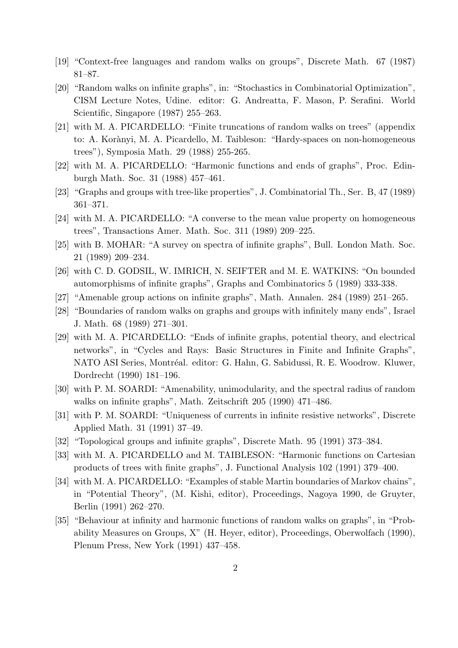- [19] "Context-free languages and random walks on groups", Discrete Math. 67 (1987) 81–87.
- [20] "Random walks on infinite graphs", in: "Stochastics in Combinatorial Optimization", CISM Lecture Notes, Udine. editor: G. Andreatta, F. Mason, P. Serafini. World Scientific, Singapore (1987) 255–263.
- [21] with M. A. PICARDELLO: "Finite truncations of random walks on trees" (appendix to: A. Korànyi, M. A. Picardello, M. Taibleson: "Hardy-spaces on non-homogeneous trees"), Symposia Math. 29 (1988) 255-265.
- [22] with M. A. PICARDELLO: "Harmonic functions and ends of graphs", Proc. Edinburgh Math. Soc. 31 (1988) 457–461.
- [23] "Graphs and groups with tree-like properties", J. Combinatorial Th., Ser. B, 47 (1989) 361–371.
- [24] with M. A. PICARDELLO: "A converse to the mean value property on homogeneous trees", Transactions Amer. Math. Soc. 311 (1989) 209–225.
- [25] with B. MOHAR: "A survey on spectra of infinite graphs", Bull. London Math. Soc. 21 (1989) 209–234.
- [26] with C. D. GODSIL, W. IMRICH, N. SEIFTER and M. E. WATKINS: "On bounded automorphisms of infinite graphs", Graphs and Combinatorics 5 (1989) 333-338.
- [27] "Amenable group actions on infinite graphs", Math. Annalen. 284 (1989) 251–265.
- [28] "Boundaries of random walks on graphs and groups with infinitely many ends", Israel J. Math. 68 (1989) 271–301.
- [29] with M. A. PICARDELLO: "Ends of infinite graphs, potential theory, and electrical networks", in "Cycles and Rays: Basic Structures in Finite and Infinite Graphs", NATO ASI Series, Montréal. editor: G. Hahn, G. Sabidussi, R. E. Woodrow. Kluwer, Dordrecht (1990) 181–196.
- [30] with P. M. SOARDI: "Amenability, unimodularity, and the spectral radius of random walks on infinite graphs", Math. Zeitschrift 205 (1990) 471–486.
- [31] with P. M. SOARDI: "Uniqueness of currents in infinite resistive networks", Discrete Applied Math. 31 (1991) 37–49.
- [32] "Topological groups and infinite graphs", Discrete Math. 95 (1991) 373–384.
- [33] with M. A. PICARDELLO and M. TAIBLESON: "Harmonic functions on Cartesian products of trees with finite graphs", J. Functional Analysis 102 (1991) 379–400.
- [34] with M. A. PICARDELLO: "Examples of stable Martin boundaries of Markov chains", in "Potential Theory", (M. Kishi, editor), Proceedings, Nagoya 1990, de Gruyter, Berlin (1991) 262–270.
- [35] "Behaviour at infinity and harmonic functions of random walks on graphs", in "Probability Measures on Groups, X" (H. Heyer, editor), Proceedings, Oberwolfach (1990), Plenum Press, New York (1991) 437–458.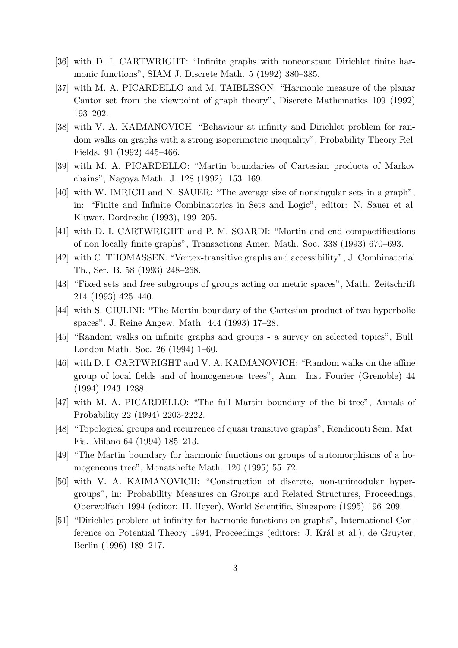- [36] with D. I. CARTWRIGHT: "Infinite graphs with nonconstant Dirichlet finite harmonic functions", SIAM J. Discrete Math. 5 (1992) 380–385.
- [37] with M. A. PICARDELLO and M. TAIBLESON: "Harmonic measure of the planar Cantor set from the viewpoint of graph theory", Discrete Mathematics 109 (1992) 193–202.
- [38] with V. A. KAIMANOVICH: "Behaviour at infinity and Dirichlet problem for random walks on graphs with a strong isoperimetric inequality", Probability Theory Rel. Fields. 91 (1992) 445–466.
- [39] with M. A. PICARDELLO: "Martin boundaries of Cartesian products of Markov chains", Nagoya Math. J. 128 (1992), 153–169.
- [40] with W. IMRICH and N. SAUER: "The average size of nonsingular sets in a graph", in: "Finite and Infinite Combinatorics in Sets and Logic", editor: N. Sauer et al. Kluwer, Dordrecht (1993), 199–205.
- [41] with D. I. CARTWRIGHT and P. M. SOARDI: "Martin and end compactifications of non locally finite graphs", Transactions Amer. Math. Soc. 338 (1993) 670–693.
- [42] with C. THOMASSEN: "Vertex-transitive graphs and accessibility", J. Combinatorial Th., Ser. B. 58 (1993) 248–268.
- [43] "Fixed sets and free subgroups of groups acting on metric spaces", Math. Zeitschrift 214 (1993) 425–440.
- [44] with S. GIULINI: "The Martin boundary of the Cartesian product of two hyperbolic spaces", J. Reine Angew. Math. 444 (1993) 17–28.
- [45] "Random walks on infinite graphs and groups a survey on selected topics", Bull. London Math. Soc. 26 (1994) 1–60.
- [46] with D. I. CARTWRIGHT and V. A. KAIMANOVICH: "Random walks on the affine group of local fields and of homogeneous trees", Ann. Inst Fourier (Grenoble) 44 (1994) 1243–1288.
- [47] with M. A. PICARDELLO: "The full Martin boundary of the bi-tree", Annals of Probability 22 (1994) 2203-2222.
- [48] "Topological groups and recurrence of quasi transitive graphs", Rendiconti Sem. Mat. Fis. Milano 64 (1994) 185–213.
- [49] "The Martin boundary for harmonic functions on groups of automorphisms of a homogeneous tree", Monatshefte Math. 120 (1995) 55–72.
- [50] with V. A. KAIMANOVICH: "Construction of discrete, non-unimodular hypergroups", in: Probability Measures on Groups and Related Structures, Proceedings, Oberwolfach 1994 (editor: H. Heyer), World Scientific, Singapore (1995) 196–209.
- [51] "Dirichlet problem at infinity for harmonic functions on graphs", International Conference on Potential Theory 1994, Proceedings (editors: J. Král et al.), de Gruyter, Berlin (1996) 189–217.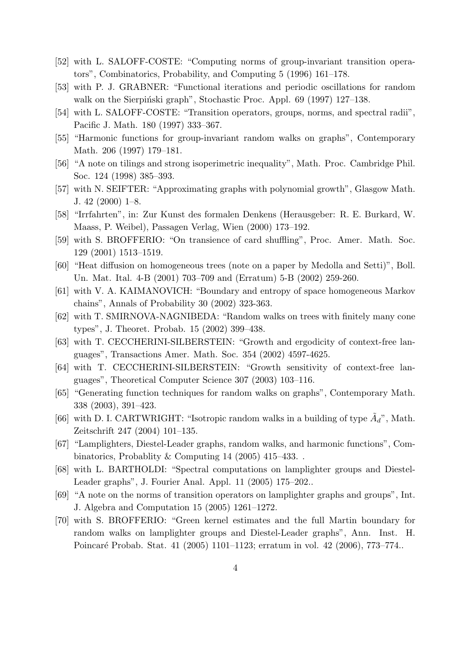- [52] with L. SALOFF-COSTE: "Computing norms of group-invariant transition operators", Combinatorics, Probability, and Computing 5 (1996) 161–178.
- [53] with P. J. GRABNER: "Functional iterations and periodic oscillations for random walk on the Sierpiński graph", Stochastic Proc. Appl. 69 (1997) 127–138.
- [54] with L. SALOFF-COSTE: "Transition operators, groups, norms, and spectral radii", Pacific J. Math. 180 (1997) 333–367.
- [55] "Harmonic functions for group-invariant random walks on graphs", Contemporary Math. 206 (1997) 179–181.
- [56] "A note on tilings and strong isoperimetric inequality", Math. Proc. Cambridge Phil. Soc. 124 (1998) 385–393.
- [57] with N. SEIFTER: "Approximating graphs with polynomial growth", Glasgow Math. J. 42  $(2000)$  1–8.
- [58] "Irrfahrten", in: Zur Kunst des formalen Denkens (Herausgeber: R. E. Burkard, W. Maass, P. Weibel), Passagen Verlag, Wien (2000) 173–192.
- [59] with S. BROFFERIO: "On transience of card shuffling", Proc. Amer. Math. Soc. 129 (2001) 1513–1519.
- [60] "Heat diffusion on homogeneous trees (note on a paper by Medolla and Setti)", Boll. Un. Mat. Ital. 4-B (2001) 703–709 and (Erratum) 5-B (2002) 259-260.
- [61] with V. A. KAIMANOVICH: "Boundary and entropy of space homogeneous Markov chains", Annals of Probability 30 (2002) 323-363.
- [62] with T. SMIRNOVA-NAGNIBEDA: "Random walks on trees with finitely many cone types", J. Theoret. Probab. 15 (2002) 399–438.
- [63] with T. CECCHERINI-SILBERSTEIN: "Growth and ergodicity of context-free languages", Transactions Amer. Math. Soc. 354 (2002) 4597-4625.
- [64] with T. CECCHERINI-SILBERSTEIN: "Growth sensitivity of context-free languages", Theoretical Computer Science 307 (2003) 103–116.
- [65] "Generating function techniques for random walks on graphs", Contemporary Math. 338 (2003), 391–423.
- [66] with D. I. CARTWRIGHT: "Isotropic random walks in a building of type  $\tilde{A}_d$ ", Math. Zeitschrift 247 (2004) 101–135.
- [67] "Lamplighters, Diestel-Leader graphs, random walks, and harmonic functions", Combinatorics, Probablity & Computing 14 (2005) 415–433. .
- [68] with L. BARTHOLDI: "Spectral computations on lamplighter groups and Diestel-Leader graphs", J. Fourier Anal. Appl. 11 (2005) 175–202..
- [69] "A note on the norms of transition operators on lamplighter graphs and groups", Int. J. Algebra and Computation 15 (2005) 1261–1272.
- [70] with S. BROFFERIO: "Green kernel estimates and the full Martin boundary for random walks on lamplighter groups and Diestel-Leader graphs", Ann. Inst. H. Poincar´e Probab. Stat. 41 (2005) 1101–1123; erratum in vol. 42 (2006), 773–774..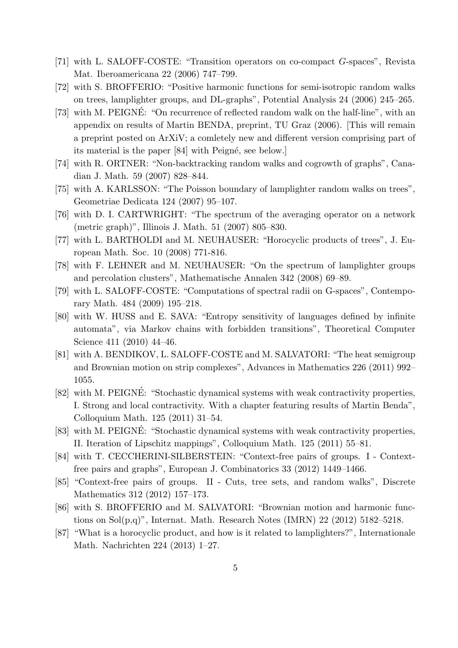- [71] with L. SALOFF-COSTE: "Transition operators on co-compact *G*-spaces", Revista Mat. Iberoamericana 22 (2006) 747–799.
- [72] with S. BROFFERIO: "Positive harmonic functions for semi-isotropic random walks on trees, lamplighter groups, and DL-graphs", Potential Analysis 24 (2006) 245–265.
- [73] with M. PEIGNÉ: "On recurrence of reflected random walk on the half-line", with an appendix on results of Martin BENDA, preprint, TU Graz (2006). [This will remain a preprint posted on ArXiV; a comletely new and different version comprising part of its material is the paper [84] with Peigné, see below.]
- [74] with R. ORTNER: "Non-backtracking random walks and cogrowth of graphs", Canadian J. Math. 59 (2007) 828–844.
- [75] with A. KARLSSON: "The Poisson boundary of lamplighter random walks on trees", Geometriae Dedicata 124 (2007) 95–107.
- [76] with D. I. CARTWRIGHT: "The spectrum of the averaging operator on a network (metric graph)", Illinois J. Math. 51 (2007) 805–830.
- [77] with L. BARTHOLDI and M. NEUHAUSER: "Horocyclic products of trees", J. European Math. Soc. 10 (2008) 771-816.
- [78] with F. LEHNER and M. NEUHAUSER: "On the spectrum of lamplighter groups and percolation clusters", Mathematische Annalen 342 (2008) 69–89.
- [79] with L. SALOFF-COSTE: "Computations of spectral radii on G-spaces", Contemporary Math. 484 (2009) 195–218.
- [80] with W. HUSS and E. SAVA: "Entropy sensitivity of languages defined by infinite automata", via Markov chains with forbidden transitions", Theoretical Computer Science 411 (2010) 44–46.
- [81] with A. BENDIKOV, L. SALOFF-COSTE and M. SALVATORI: "The heat semigroup and Brownian motion on strip complexes", Advances in Mathematics 226 (2011) 992– 1055.
- [82] with M. PEIGNÉ: "Stochastic dynamical systems with weak contractivity properties, I. Strong and local contractivity. With a chapter featuring results of Martin Benda", Colloquium Math. 125 (2011) 31–54.
- [83] with M. PEIGNÉ: "Stochastic dynamical systems with weak contractivity properties, II. Iteration of Lipschitz mappings", Colloquium Math. 125 (2011) 55–81.
- [84] with T. CECCHERINI-SILBERSTEIN: "Context-free pairs of groups. I Contextfree pairs and graphs", European J. Combinatorics 33 (2012) 1449–1466.
- [85] "Context-free pairs of groups. II Cuts, tree sets, and random walks", Discrete Mathematics 312 (2012) 157–173.
- [86] with S. BROFFERIO and M. SALVATORI: "Brownian motion and harmonic functions on  $Sol(p,q)$ ", Internat. Math. Research Notes (IMRN) 22 (2012) 5182-5218.
- [87] "What is a horocyclic product, and how is it related to lamplighters?", Internationale Math. Nachrichten 224 (2013) 1–27.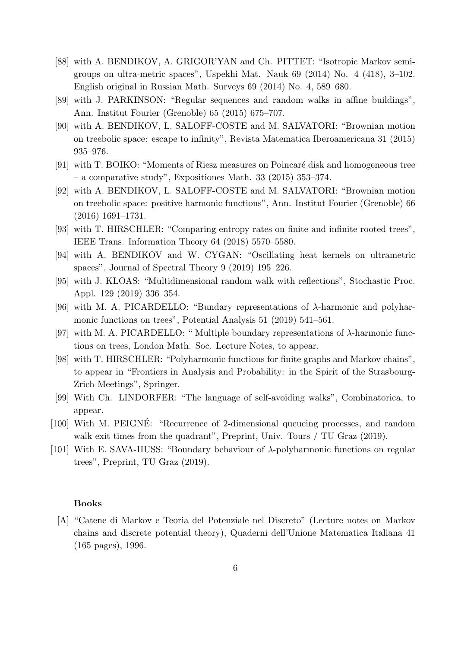- [88] with A. BENDIKOV, A. GRIGOR'YAN and Ch. PITTET: "Isotropic Markov semigroups on ultra-metric spaces", Uspekhi Mat. Nauk 69 (2014) No. 4 (418), 3–102. English original in Russian Math. Surveys 69 (2014) No. 4, 589–680.
- [89] with J. PARKINSON: "Regular sequences and random walks in affine buildings", Ann. Institut Fourier (Grenoble) 65 (2015) 675–707.
- [90] with A. BENDIKOV, L. SALOFF-COSTE and M. SALVATORI: "Brownian motion on treebolic space: escape to infinity", Revista Matematica Iberoamericana 31 (2015) 935–976.
- [91] with T. BOIKO: "Moments of Riesz measures on Poincaré disk and homogeneous tree – a comparative study", Expositiones Math. 33 (2015) 353–374.
- [92] with A. BENDIKOV, L. SALOFF-COSTE and M. SALVATORI: "Brownian motion on treebolic space: positive harmonic functions", Ann. Institut Fourier (Grenoble) 66 (2016) 1691–1731.
- [93] with T. HIRSCHLER: "Comparing entropy rates on finite and infinite rooted trees", IEEE Trans. Information Theory 64 (2018) 5570–5580.
- [94] with A. BENDIKOV and W. CYGAN: "Oscillating heat kernels on ultrametric spaces", Journal of Spectral Theory 9 (2019) 195–226.
- [95] with J. KLOAS: "Multidimensional random walk with reflections", Stochastic Proc. Appl. 129 (2019) 336–354.
- [96] with M. A. PICARDELLO: "Bundary representations of *λ*-harmonic and polyharmonic functions on trees", Potential Analysis 51 (2019) 541–561.
- [97] with M. A. PICARDELLO: " Multiple boundary representations of *λ*-harmonic functions on trees, London Math. Soc. Lecture Notes, to appear.
- [98] with T. HIRSCHLER: "Polyharmonic functions for finite graphs and Markov chains", to appear in "Frontiers in Analysis and Probability: in the Spirit of the Strasbourg-Zrich Meetings", Springer.
- [99] With Ch. LINDORFER: "The language of self-avoiding walks", Combinatorica, to appear.
- [100] With M. PEIGNE: "Recurrence of 2-dimensional queueing processes, and random walk exit times from the quadrant", Preprint, Univ. Tours / TU Graz (2019).
- [101] With E. SAVA-HUSS: "Boundary behaviour of *λ*-polyharmonic functions on regular trees", Preprint, TU Graz (2019).

## **Books**

[A] "Catene di Markov e Teoria del Potenziale nel Discreto" (Lecture notes on Markov chains and discrete potential theory), Quaderni dell'Unione Matematica Italiana 41 (165 pages), 1996.